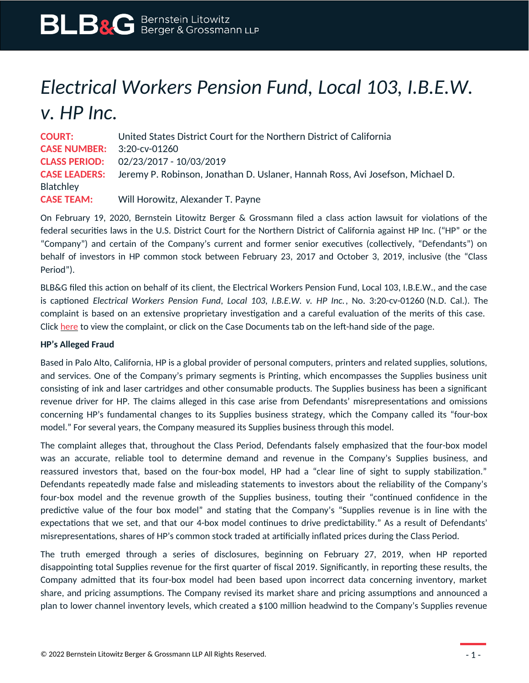## *Electrical Workers Pension Fund, Local 103, I.B.E.W. v. HP Inc.*

**COURT:** United States District Court for the Northern District of California **CASE NUMBER:** 3:20-cv-01260 **CLASS PERIOD:** 02/23/2017 - 10/03/2019 **CASE LEADERS:** Jeremy P. Robinson, Jonathan D. Uslaner, Hannah Ross, Avi Josefson, Michael D. Blatchley **CASE TEAM:** Will Horowitz, Alexander T. Payne

On February 19, 2020, Bernstein Litowitz Berger & Grossmann filed a class action lawsuit for violations of the federal securities laws in the U.S. District Court for the Northern District of California against HP Inc. ("HP" or the "Company") and certain of the Company's current and former senior executives (collectively, "Defendants") on behalf of investors in HP common stock between February 23, 2017 and October 3, 2019, inclusive (the "Class Period").

BLB&G filed this action on behalf of its client, the Electrical Workers Pension Fund, Local 103, I.B.E.W., and the case is captioned *Electrical Workers Pension Fund, Local 103, I.B.E.W. v. HP Inc.*, No. 3:20-cv-01260 (N.D. Cal.). The complaint is based on an extensive proprietary investigation and a careful evaluation of the merits of this case. Click [here](https://www.blbglaw.com/cases/hp-inc./_res/id=Attachments/index=1/HP%20Complaint_3_20-cv-01260-00001%20(1).pdf) to view the complaint, or click on the Case Documents tab on the left-hand side of the page.

## **HP's Alleged Fraud**

Based in Palo Alto, California, HP is a global provider of personal computers, printers and related supplies, solutions, and services. One of the Company's primary segments is Printing, which encompasses the Supplies business unit consisting of ink and laser cartridges and other consumable products. The Supplies business has been a significant revenue driver for HP. The claims alleged in this case arise from Defendants' misrepresentations and omissions concerning HP's fundamental changes to its Supplies business strategy, which the Company called its "four-box model." For several years, the Company measured its Supplies business through this model.

The complaint alleges that, throughout the Class Period, Defendants falsely emphasized that the four-box model was an accurate, reliable tool to determine demand and revenue in the Company's Supplies business, and reassured investors that, based on the four-box model, HP had a "clear line of sight to supply stabilization." Defendants repeatedly made false and misleading statements to investors about the reliability of the Company's four-box model and the revenue growth of the Supplies business, touting their "continued confidence in the predictive value of the four box model" and stating that the Company's "Supplies revenue is in line with the expectations that we set, and that our 4-box model continues to drive predictability." As a result of Defendants' misrepresentations, shares of HP's common stock traded at artificially inflated prices during the Class Period.

The truth emerged through a series of disclosures, beginning on February 27, 2019, when HP reported disappointing total Supplies revenue for the first quarter of fiscal 2019. Significantly, in reporting these results, the Company admitted that its four-box model had been based upon incorrect data concerning inventory, market share, and pricing assumptions. The Company revised its market share and pricing assumptions and announced a plan to lower channel inventory levels, which created a \$100 million headwind to the Company's Supplies revenue